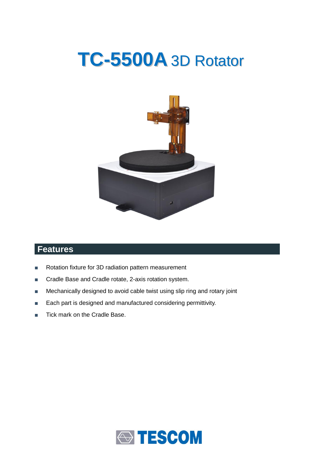# **TC-5500A** 3D Rotator



## **Features**

- Rotation fixture for 3D radiation pattern measurement
- Cradle Base and Cradle rotate, 2-axis rotation system.
- Mechanically designed to avoid cable twist using slip ring and rotary joint
- Each part is designed and manufactured considering permittivity.
- Tick mark on the Cradle Base.

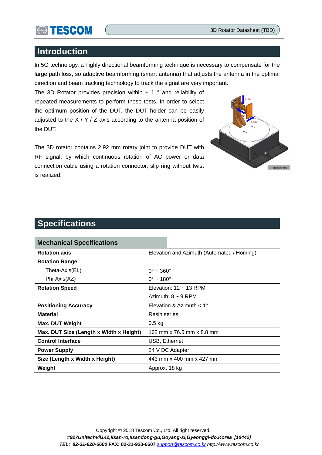

### **Introduction**

In 5G technology, a highly directional beamforming technique is necessary to compensate for the large path loss, so adaptive beamforming (smart antenna) that adjusts the antenna in the optimal direction and beam tracking technology to track the signal are very important.

The 3D Rotator provides precision within  $\pm$  1 ° and reliability of repeated measurements to perform these tests. In order to select the optimum position of the DUT, the DUT holder can be easily adjusted to the  $X / Y / Z$  axis according to the antenna position of the DUT.



The 3D rotator contains 2.92 mm rotary joint to provide DUT with RF signal, by which continuous rotation of AC power or data connection cable using a rotation connector, slip ring without twist is realized.

## **Specifications**

| <b>Mechanical Specifications</b>        |                                            |  |
|-----------------------------------------|--------------------------------------------|--|
| <b>Rotation axis</b>                    | Elevation and Azimuth (Automated / Homing) |  |
| <b>Rotation Range</b>                   |                                            |  |
| Theta-Axis(EL)                          | $0^{\circ}$ ~ 360 $^{\circ}$               |  |
| Phi-Axis(AZ)                            | $0^{\circ}$ ~ 180 $^{\circ}$               |  |
| <b>Rotation Speed</b>                   | Elevation: $12 \sim 13$ RPM                |  |
|                                         | Azimuth: $8 \sim 9$ RPM                    |  |
| <b>Positioning Accuracy</b>             | Elevation & Azimuth $< 1^{\circ}$          |  |
| <b>Material</b>                         | Resin series                               |  |
| <b>Max. DUT Weight</b>                  | $0.5$ kg                                   |  |
| Max. DUT Size (Length x Width x Height) | 162 mm x 76.5 mm x 8.8 mm                  |  |
| <b>Control Interface</b>                | USB, Ethernet                              |  |
| <b>Power Supply</b>                     | 24 V DC Adapter                            |  |
| Size (Length x Width x Height)          | 443 mm x 400 mm x 427 mm                   |  |
| Weight                                  | Approx. 18 kg                              |  |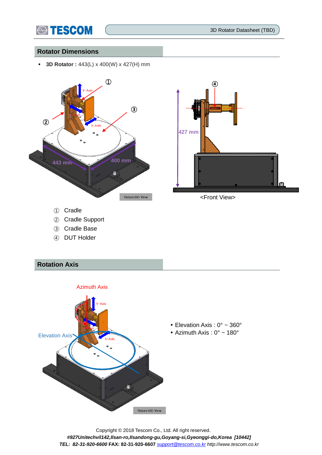

3D Rotator Datasheet (TBD)

#### **Rotator Dimensions**

**3D Rotator :** 443(L) x 400(W) x 427(H) mm





<Front View>

- ② Cradle Support
- ③ Cradle Base
- ④ DUT Holder

#### **Rotation Axis**



Copyright © 2018 Tescom Co., Ltd. All right reserved. *#927Unitechvil142,Ilsan-ro,Ilsandong-gu,Goyang-si,Gyeonggi-do,Korea [10442] TEL: 82-31-920-6600* **FAX: 82-31-920-6607** *[support@tescom.co.kr](mailto:support@tescom.co.kr) http://www.tescom.co.kr*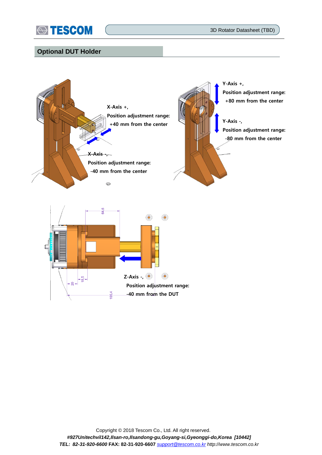

3D Rotator Datasheet (TBD)

#### **Optional DUT Holder**